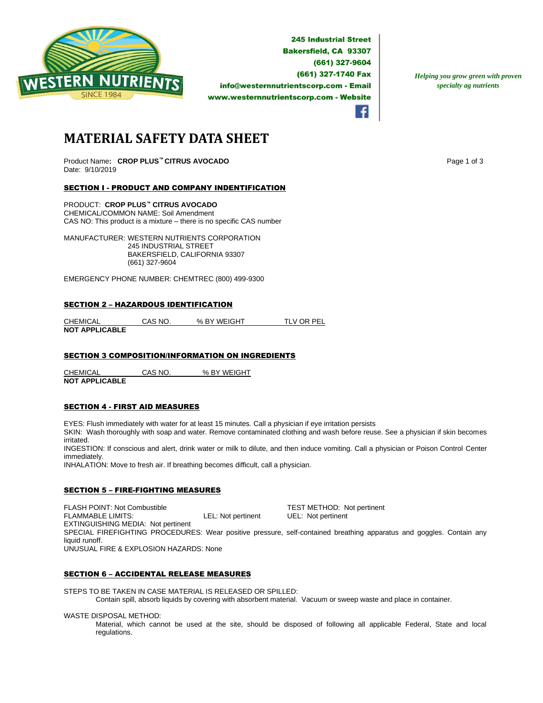

**245 Industrial Street Bakersfield, CA 93307** (661) 327-9604 (661) 327-1740 Fax info@westernnutrientscorp.com - Email www.westernnutrientscorp.com - Website

*Helping you grow green with proven specialty ag nutrients*

**MATERIAL SAFETY DATA SHEET**

Product Name**: CROP PLUS™ CITRUS AVOCADO** Page 1 of 3 Date: 9/10/2019

# SECTION I - PRODUCT AND COMPANY INDENTIFICATION

PRODUCT: **CROP PLUS™ CITRUS AVOCADO** CHEMICAL/COMMON NAME: Soil Amendment CAS NO: This product is a mixture – there is no specific CAS number

MANUFACTURER: WESTERN NUTRIENTS CORPORATION 245 INDUSTRIAL STREET BAKERSFIELD, CALIFORNIA 93307 (661) 327-9604

EMERGENCY PHONE NUMBER: CHEMTREC (800) 499-9300

#### SECTION 2 – HAZARDOUS IDENTIFICATION

CHEMICAL CAS NO. % BY WEIGHT TLV OR PEL **NOT APPLICABLE** 

# SECTION 3 COMPOSITION/INFORMATION ON INGREDIENTS

CHEMICAL CAS NO. % BY WEIGHT **NOT APPLICABLE** 

## SECTION 4 - FIRST AID MEASURES

EYES: Flush immediately with water for at least 15 minutes. Call a physician if eye irritation persists

SKIN: Wash thoroughly with soap and water. Remove contaminated clothing and wash before reuse. See a physician if skin becomes irritated.

INGESTION: If conscious and alert, drink water or milk to dilute, and then induce vomiting. Call a physician or Poison Control Center immediately.

INHALATION: Move to fresh air. If breathing becomes difficult, call a physician.

# SECTION 5 – FIRE-FIGHTING MEASURES

FLASH POINT: Not Combustible TEST METHOD: Not pertinent FLAMMABLE LIMITS: LEL: Not pertinent UEL: Not pertinent EXTINGUISHING MEDIA: Not pertinent SPECIAL FIREFIGHTING PROCEDURES: Wear positive pressure, self-contained breathing apparatus and goggles. Contain any liquid runoff. UNUSUAL FIRE & EXPLOSION HAZARDS: None

## SECTION 6 – ACCIDENTAL RELEASE MEASURES

STEPS TO BE TAKEN IN CASE MATERIAL IS RELEASED OR SPILLED:

Contain spill, absorb liquids by covering with absorbent material. Vacuum or sweep waste and place in container.

WASTE DISPOSAL METHOD:

Material, which cannot be used at the site, should be disposed of following all applicable Federal, State and local regulations.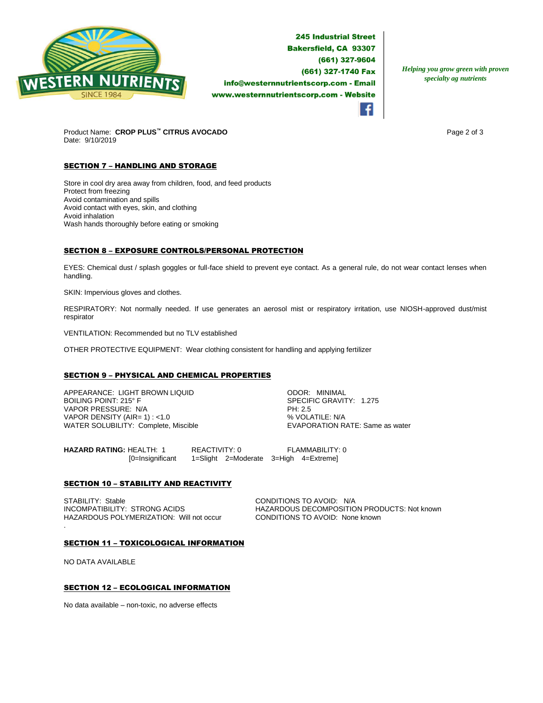

**245 Industrial Street Bakersfield, CA 93307** (661) 327-9604 (661) 327-1740 Fax info@westernnutrientscorp.com - Email www.westernnutrientscorp.com - Website

*Helping you grow green with proven specialty ag nutrients*

Product Name: **CROP PLUS™ CITRUS AVOCADO** Page 2 of 3 Date: 9/10/2019

# **SECTION 7 - HANDLING AND STORAGE**

Store in cool dry area away from children, food, and feed products Protect from freezing Avoid contamination and spills Avoid contact with eyes, skin, and clothing Avoid inhalation Wash hands thoroughly before eating or smoking

# SECTION 8 – EXPOSURE CONTROLS/PERSONAL PROTECTION

EYES: Chemical dust / splash goggles or full-face shield to prevent eye contact. As a general rule, do not wear contact lenses when handling.

SKIN: Impervious gloves and clothes.

RESPIRATORY: Not normally needed. If use generates an aerosol mist or respiratory irritation, use NIOSH-approved dust/mist respirator

VENTILATION: Recommended but no TLV established

OTHER PROTECTIVE EQUIPMENT: Wear clothing consistent for handling and applying fertilizer

## SECTION 9 – PHYSICAL AND CHEMICAL PROPERTIES

APPEARANCE: LIGHT BROWN LIQUID ODOR: MINIMAL VAPOR PRESSURE: N/A PH: 2.5 VAPOR DENSITY (AIR= 1) : <1.0<br>
WATER SOLUBILITY: Complete, Miscible  $\begin{array}{ccc}\n & \text{WAVOLATIVE: WAP} \\
 & \text{VAVAPORATION RATE: Same as water}\n\end{array}$ WATER SOLUBILITY: Complete, Miscible

SPECIFIC GRAVITY: 1.275

**HAZARD RATING:** HEALTH: 1 REACTIVITY: 0 FLAMMABILITY: 0 [0=Insignificant 1=Slight 2=Moderate 3=High 4=Extreme]

## **SECTION 10 - STABILITY AND REACTIVITY**

STABILITY: Stable CONDITIONS TO AVOID: N/A<br>INCOMPATIBILITY: STRONG ACIDS FRAGARIZED HAZARDOUS DECOMPOSITIC HAZARDOUS POLYMERIZATION: Will not occur CONDITIONS TO AVOID: None known

HAZARDOUS DECOMPOSITION PRODUCTS: Not known

#### SECTION 11 – TOXICOLOGICAL INFORMATION

NO DATA AVAILABLE

.

## SECTION 12 – ECOLOGICAL INFORMATION

No data available – non-toxic, no adverse effects